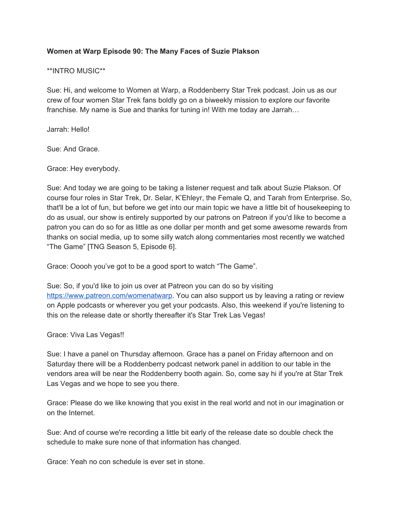## **Women at Warp Episode 90: The Many Faces of Suzie Plakson**

## \*\*INTRO MUSIC\*\*

Sue: Hi, and welcome to Women at Warp, a Roddenberry Star Trek podcast. Join us as our crew of four women Star Trek fans boldly go on a biweekly mission to explore our favorite franchise. My name is Sue and thanks for tuning in! With me today are Jarrah…

Jarrah: Hello!

Sue: And Grace.

Grace: Hey everybody.

Sue: And today we are going to be taking a listener request and talk about Suzie Plakson. Of course four roles in Star Trek, Dr. Selar, K'Ehleyr, the Female Q, and Tarah from Enterprise. So, that'll be a lot of fun, but before we get into our main topic we have a little bit of housekeeping to do as usual, our show is entirely supported by our patrons on Patreon if you'd like to become a patron you can do so for as little as one dollar per month and get some awesome rewards from thanks on social media, up to some silly watch along commentaries most recently we watched "The Game" [TNG Season 5, Episode 6].

Grace: Ooooh you've got to be a good sport to watch "The Game".

Sue: So, if you'd like to join us over at Patreon you can do so by visiting [https://www.patreon.com/womenatwarp.](https://www.patreon.com/womenatwarp) You can also support us by leaving a rating or review on Apple podcasts or wherever you get your podcasts. Also, this weekend if you're listening to this on the release date or shortly thereafter it's Star Trek Las Vegas!

Grace: Viva Las Vegas!!

Sue: I have a panel on Thursday afternoon. Grace has a panel on Friday afternoon and on Saturday there will be a Roddenberry podcast network panel in addition to our table in the vendors area will be near the Roddenberry booth again. So, come say hi if you're at Star Trek Las Vegas and we hope to see you there.

Grace: Please do we like knowing that you exist in the real world and not in our imagination or on the Internet.

Sue: And of course we're recording a little bit early of the release date so double check the schedule to make sure none of that information has changed.

Grace: Yeah no con schedule is ever set in stone.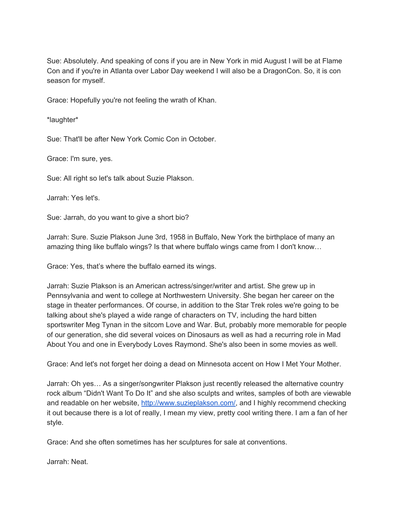Sue: Absolutely. And speaking of cons if you are in New York in mid August I will be at Flame Con and if you're in Atlanta over Labor Day weekend I will also be a DragonCon. So, it is con season for myself.

Grace: Hopefully you're not feeling the wrath of Khan.

\*laughter\*

Sue: That'll be after New York Comic Con in October.

Grace: I'm sure, yes.

Sue: All right so let's talk about Suzie Plakson.

Jarrah: Yes let's.

Sue: Jarrah, do you want to give a short bio?

Jarrah: Sure. Suzie Plakson June 3rd, 1958 in Buffalo, New York the birthplace of many an amazing thing like buffalo wings? Is that where buffalo wings came from I don't know…

Grace: Yes, that's where the buffalo earned its wings.

Jarrah: Suzie Plakson is an American actress/singer/writer and artist. She grew up in Pennsylvania and went to college at Northwestern University. She began her career on the stage in theater performances. Of course, in addition to the Star Trek roles we're going to be talking about she's played a wide range of characters on TV, including the hard bitten sportswriter Meg Tynan in the sitcom Love and War. But, probably more memorable for people of our generation, she did several voices on Dinosaurs as well as had a recurring role in Mad About You and one in Everybody Loves Raymond. She's also been in some movies as well.

Grace: And let's not forget her doing a dead on Minnesota accent on How I Met Your Mother.

Jarrah: Oh yes… As a singer/songwriter Plakson just recently released the alternative country rock album "Didn't Want To Do It" and she also sculpts and writes, samples of both are viewable and readable on her website, [http://www.suzieplakson.com/,](http://www.suzieplakson.com/) and I highly recommend checking it out because there is a lot of really, I mean my view, pretty cool writing there. I am a fan of her style.

Grace: And she often sometimes has her sculptures for sale at conventions.

Jarrah: Neat.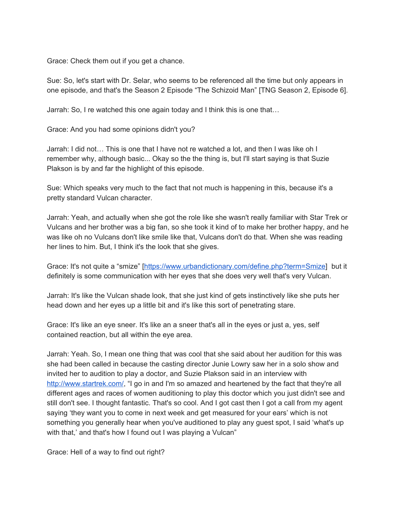Grace: Check them out if you get a chance.

Sue: So, let's start with Dr. Selar, who seems to be referenced all the time but only appears in one episode, and that's the Season 2 Episode "The Schizoid Man" [TNG Season 2, Episode 6].

Jarrah: So, I re watched this one again today and I think this is one that…

Grace: And you had some opinions didn't you?

Jarrah: I did not… This is one that I have not re watched a lot, and then I was like oh I remember why, although basic... Okay so the the thing is, but I'll start saying is that Suzie Plakson is by and far the highlight of this episode.

Sue: Which speaks very much to the fact that not much is happening in this, because it's a pretty standard Vulcan character.

Jarrah: Yeah, and actually when she got the role like she wasn't really familiar with Star Trek or Vulcans and her brother was a big fan, so she took it kind of to make her brother happy, and he was like oh no Vulcans don't like smile like that, Vulcans don't do that. When she was reading her lines to him. But, I think it's the look that she gives.

Grace: It's not quite a "smize" [\[https://www.urbandictionary.com/define.php?term=Smize\]](https://www.urbandictionary.com/define.php?term=Smize) but it definitely is some communication with her eyes that she does very well that's very Vulcan.

Jarrah: It's like the Vulcan shade look, that she just kind of gets instinctively like she puts her head down and her eyes up a little bit and it's like this sort of penetrating stare.

Grace: It's like an eye sneer. It's like an a sneer that's all in the eyes or just a, yes, self contained reaction, but all within the eye area.

Jarrah: Yeah. So, I mean one thing that was cool that she said about her audition for this was she had been called in because the casting director Junie Lowry saw her in a solo show and invited her to audition to play a doctor, and Suzie Plakson said in an interview with [http://www.startrek.com/,](http://www.startrek.com/) "I go in and I'm so amazed and heartened by the fact that they're all different ages and races of women auditioning to play this doctor which you just didn't see and still don't see. I thought fantastic. That's so cool. And I got cast then I got a call from my agent saying 'they want you to come in next week and get measured for your ears' which is not something you generally hear when you've auditioned to play any guest spot, I said 'what's up with that,' and that's how I found out I was playing a Vulcan"

Grace: Hell of a way to find out right?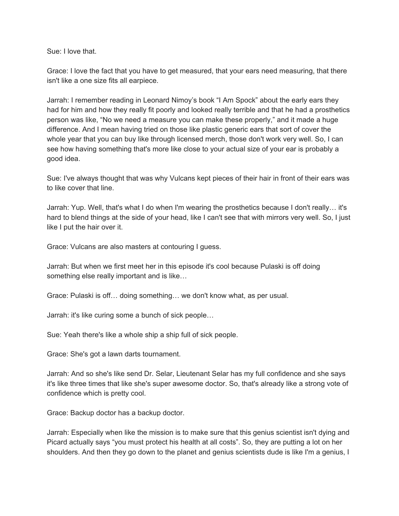Sue: I love that.

Grace: I love the fact that you have to get measured, that your ears need measuring, that there isn't like a one size fits all earpiece.

Jarrah: I remember reading in Leonard Nimoy's book "I Am Spock" about the early ears they had for him and how they really fit poorly and looked really terrible and that he had a prosthetics person was like, "No we need a measure you can make these properly," and it made a huge difference. And I mean having tried on those like plastic generic ears that sort of cover the whole year that you can buy like through licensed merch, those don't work very well. So, I can see how having something that's more like close to your actual size of your ear is probably a good idea.

Sue: I've always thought that was why Vulcans kept pieces of their hair in front of their ears was to like cover that line.

Jarrah: Yup. Well, that's what I do when I'm wearing the prosthetics because I don't really… it's hard to blend things at the side of your head, like I can't see that with mirrors very well. So, I just like I put the hair over it.

Grace: Vulcans are also masters at contouring I guess.

Jarrah: But when we first meet her in this episode it's cool because Pulaski is off doing something else really important and is like…

Grace: Pulaski is off… doing something… we don't know what, as per usual.

Jarrah: it's like curing some a bunch of sick people…

Sue: Yeah there's like a whole ship a ship full of sick people.

Grace: She's got a lawn darts tournament.

Jarrah: And so she's like send Dr. Selar, Lieutenant Selar has my full confidence and she says it's like three times that like she's super awesome doctor. So, that's already like a strong vote of confidence which is pretty cool.

Grace: Backup doctor has a backup doctor.

Jarrah: Especially when like the mission is to make sure that this genius scientist isn't dying and Picard actually says "you must protect his health at all costs". So, they are putting a lot on her shoulders. And then they go down to the planet and genius scientists dude is like I'm a genius, I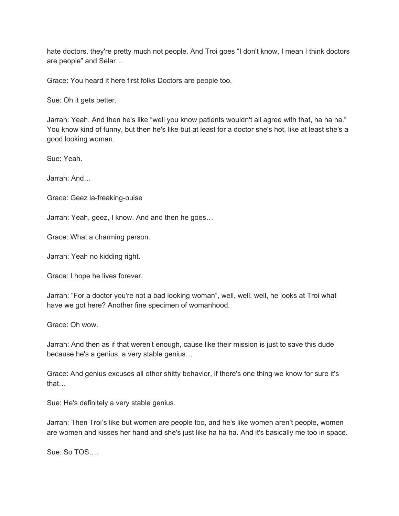hate doctors, they're pretty much not people. And Troi goes "I don't know, I mean I think doctors are people" and Selar…

Grace: You heard it here first folks Doctors are people too.

Sue: Oh it gets better.

Jarrah: Yeah. And then he's like "well you know patients wouldn't all agree with that, ha ha ha." You know kind of funny, but then he's like but at least for a doctor she's hot, like at least she's a good looking woman.

Sue: Yeah.

Jarrah: And…

Grace: Geez la-freaking-ouise

Jarrah: Yeah, geez, I know. And and then he goes…

Grace: What a charming person.

Jarrah: Yeah no kidding right.

Grace: I hope he lives forever.

Jarrah: "For a doctor you're not a bad looking woman", well, well, well, he looks at Troi what have we got here? Another fine specimen of womanhood.

Grace: Oh wow.

Jarrah: And then as if that weren't enough, cause like their mission is just to save this dude because he's a genius, a very stable genius…

Grace: And genius excuses all other shitty behavior, if there's one thing we know for sure it's that…

Sue: He's definitely a very stable genius.

Jarrah: Then Troi's like but women are people too, and he's like women aren't people, women are women and kisses her hand and she's just like ha ha ha. And it's basically me too in space.

Sue: So TOS….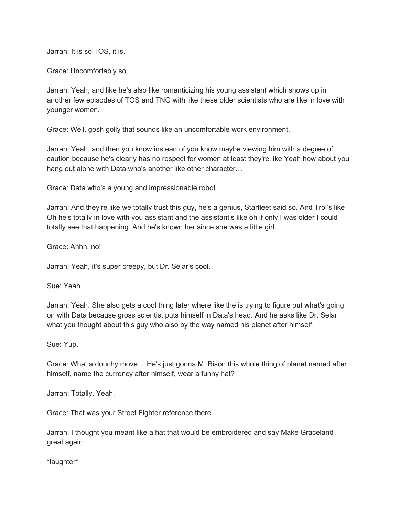Jarrah: It is so TOS, it is.

Grace: Uncomfortably so.

Jarrah: Yeah, and like he's also like romanticizing his young assistant which shows up in another few episodes of TOS and TNG with like these older scientists who are like in love with younger women.

Grace: Well, gosh golly that sounds like an uncomfortable work environment.

Jarrah: Yeah, and then you know instead of you know maybe viewing him with a degree of caution because he's clearly has no respect for women at least they're like Yeah how about you hang out alone with Data who's another like other character…

Grace: Data who's a young and impressionable robot.

Jarrah: And they're like we totally trust this guy, he's a genius, Starfleet said so. And Troi's like Oh he's totally in love with you assistant and the assistant's like oh if only I was older I could totally see that happening. And he's known her since she was a little girl…

Grace: Ahhh, no!

Jarrah: Yeah, it's super creepy, but Dr. Selar's cool.

Sue: Yeah.

Jarrah: Yeah. She also gets a cool thing later where like the is trying to figure out what's going on with Data because gross scientist puts himself in Data's head. And he asks like Dr. Selar what you thought about this guy who also by the way named his planet after himself.

Sue: Yup.

Grace: What a douchy move… He's just gonna M. Bison this whole thing of planet named after himself, name the currency after himself, wear a funny hat?

Jarrah: Totally. Yeah.

Grace: That was your Street Fighter reference there.

Jarrah: I thought you meant like a hat that would be embroidered and say Make Graceland great again.

\*laughter\*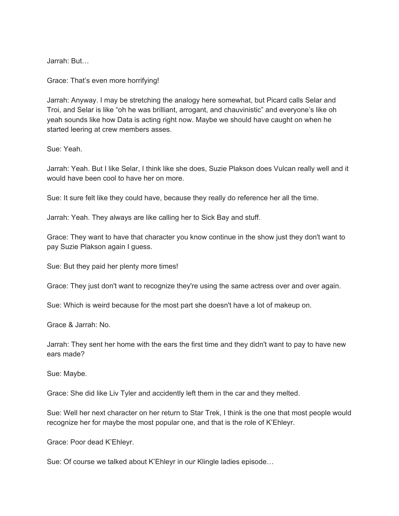Jarrah: But…

Grace: That's even more horrifying!

Jarrah: Anyway. I may be stretching the analogy here somewhat, but Picard calls Selar and Troi, and Selar is like "oh he was brilliant, arrogant, and chauvinistic" and everyone's like oh yeah sounds like how Data is acting right now. Maybe we should have caught on when he started leering at crew members asses.

Sue: Yeah.

Jarrah: Yeah. But I like Selar, I think like she does, Suzie Plakson does Vulcan really well and it would have been cool to have her on more.

Sue: It sure felt like they could have, because they really do reference her all the time.

Jarrah: Yeah. They always are like calling her to Sick Bay and stuff.

Grace: They want to have that character you know continue in the show just they don't want to pay Suzie Plakson again I guess.

Sue: But they paid her plenty more times!

Grace: They just don't want to recognize they're using the same actress over and over again.

Sue: Which is weird because for the most part she doesn't have a lot of makeup on.

Grace & Jarrah: No.

Jarrah: They sent her home with the ears the first time and they didn't want to pay to have new ears made?

Sue: Maybe.

Grace: She did like Liv Tyler and accidently left them in the car and they melted.

Sue: Well her next character on her return to Star Trek, I think is the one that most people would recognize her for maybe the most popular one, and that is the role of K'Ehleyr.

Grace: Poor dead K'Ehleyr.

Sue: Of course we talked about K'Ehleyr in our Klingle ladies episode…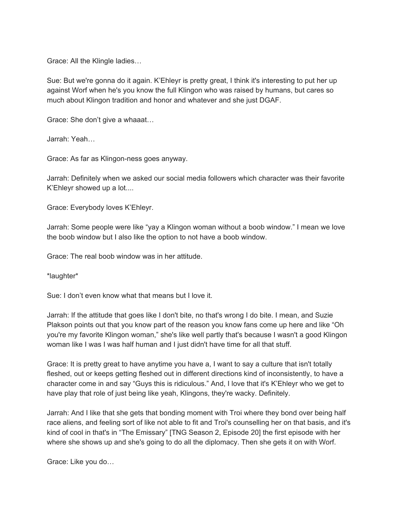Grace: All the Klingle ladies…

Sue: But we're gonna do it again. K'Ehleyr is pretty great, I think it's interesting to put her up against Worf when he's you know the full Klingon who was raised by humans, but cares so much about Klingon tradition and honor and whatever and she just DGAF.

Grace: She don't give a whaaat…

Jarrah: Yeah…

Grace: As far as Klingon-ness goes anyway.

Jarrah: Definitely when we asked our social media followers which character was their favorite K'Ehleyr showed up a lot....

Grace: Everybody loves K'Ehleyr.

Jarrah: Some people were like "yay a Klingon woman without a boob window." I mean we love the boob window but I also like the option to not have a boob window.

Grace: The real boob window was in her attitude.

\*laughter\*

Sue: I don't even know what that means but I love it.

Jarrah: If the attitude that goes like I don't bite, no that's wrong I do bite. I mean, and Suzie Plakson points out that you know part of the reason you know fans come up here and like "Oh you're my favorite Klingon woman," she's like well partly that's because I wasn't a good Klingon woman like I was I was half human and I just didn't have time for all that stuff.

Grace: It is pretty great to have anytime you have a, I want to say a culture that isn't totally fleshed, out or keeps getting fleshed out in different directions kind of inconsistently, to have a character come in and say "Guys this is ridiculous." And, I love that it's K'Ehleyr who we get to have play that role of just being like yeah, Klingons, they're wacky. Definitely.

Jarrah: And I like that she gets that bonding moment with Troi where they bond over being half race aliens, and feeling sort of like not able to fit and Troi's counselling her on that basis, and it's kind of cool in that's in "The Emissary" [TNG Season 2, Episode 20] the first episode with her where she shows up and she's going to do all the diplomacy. Then she gets it on with Worf.

Grace: Like you do…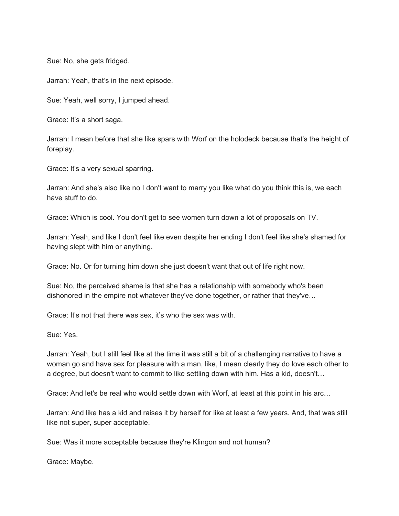Sue: No, she gets fridged.

Jarrah: Yeah, that's in the next episode.

Sue: Yeah, well sorry, I jumped ahead.

Grace: It's a short saga.

Jarrah: I mean before that she like spars with Worf on the holodeck because that's the height of foreplay.

Grace: It's a very sexual sparring.

Jarrah: And she's also like no I don't want to marry you like what do you think this is, we each have stuff to do.

Grace: Which is cool. You don't get to see women turn down a lot of proposals on TV.

Jarrah: Yeah, and like I don't feel like even despite her ending I don't feel like she's shamed for having slept with him or anything.

Grace: No. Or for turning him down she just doesn't want that out of life right now.

Sue: No, the perceived shame is that she has a relationship with somebody who's been dishonored in the empire not whatever they've done together, or rather that they've…

Grace: It's not that there was sex, it's who the sex was with.

Sue: Yes.

Jarrah: Yeah, but I still feel like at the time it was still a bit of a challenging narrative to have a woman go and have sex for pleasure with a man, like, I mean clearly they do love each other to a degree, but doesn't want to commit to like settling down with him. Has a kid, doesn't…

Grace: And let's be real who would settle down with Worf, at least at this point in his arc…

Jarrah: And like has a kid and raises it by herself for like at least a few years. And, that was still like not super, super acceptable.

Sue: Was it more acceptable because they're Klingon and not human?

Grace: Maybe.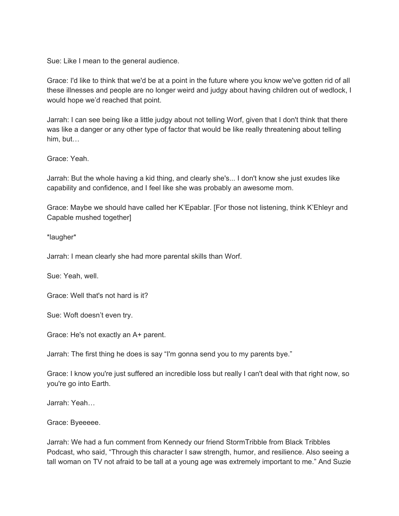Sue: Like I mean to the general audience.

Grace: I'd like to think that we'd be at a point in the future where you know we've gotten rid of all these illnesses and people are no longer weird and judgy about having children out of wedlock, I would hope we'd reached that point.

Jarrah: I can see being like a little judgy about not telling Worf, given that I don't think that there was like a danger or any other type of factor that would be like really threatening about telling him, but…

Grace: Yeah.

Jarrah: But the whole having a kid thing, and clearly she's... I don't know she just exudes like capability and confidence, and I feel like she was probably an awesome mom.

Grace: Maybe we should have called her K'Epablar. [For those not listening, think K'Ehleyr and Capable mushed together]

\*laugher\*

Jarrah: I mean clearly she had more parental skills than Worf.

Sue: Yeah, well.

Grace: Well that's not hard is it?

Sue: Woft doesn't even try.

Grace: He's not exactly an A+ parent.

Jarrah: The first thing he does is say "I'm gonna send you to my parents bye."

Grace: I know you're just suffered an incredible loss but really I can't deal with that right now, so you're go into Earth.

Jarrah: Yeah…

Grace: Byeeeee.

Jarrah: We had a fun comment from Kennedy our friend StormTribble from Black Tribbles Podcast, who said, "Through this character I saw strength, humor, and resilience. Also seeing a tall woman on TV not afraid to be tall at a young age was extremely important to me." And Suzie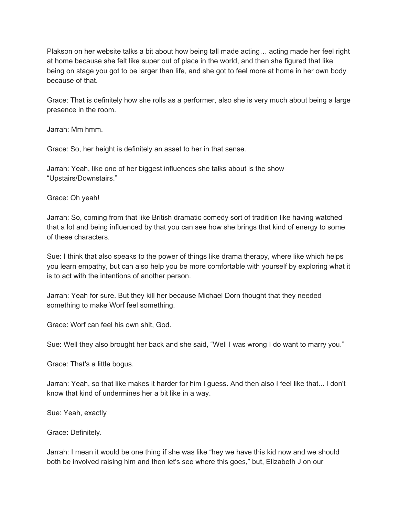Plakson on her website talks a bit about how being tall made acting… acting made her feel right at home because she felt like super out of place in the world, and then she figured that like being on stage you got to be larger than life, and she got to feel more at home in her own body because of that.

Grace: That is definitely how she rolls as a performer, also she is very much about being a large presence in the room.

Jarrah: Mm hmm.

Grace: So, her height is definitely an asset to her in that sense.

Jarrah: Yeah, like one of her biggest influences she talks about is the show "Upstairs/Downstairs."

Grace: Oh yeah!

Jarrah: So, coming from that like British dramatic comedy sort of tradition like having watched that a lot and being influenced by that you can see how she brings that kind of energy to some of these characters.

Sue: I think that also speaks to the power of things like drama therapy, where like which helps you learn empathy, but can also help you be more comfortable with yourself by exploring what it is to act with the intentions of another person.

Jarrah: Yeah for sure. But they kill her because Michael Dorn thought that they needed something to make Worf feel something.

Grace: Worf can feel his own shit, God.

Sue: Well they also brought her back and she said, "Well I was wrong I do want to marry you."

Grace: That's a little bogus.

Jarrah: Yeah, so that like makes it harder for him I guess. And then also I feel like that... I don't know that kind of undermines her a bit like in a way.

Sue: Yeah, exactly

Grace: Definitely.

Jarrah: I mean it would be one thing if she was like "hey we have this kid now and we should both be involved raising him and then let's see where this goes," but, Elizabeth J on our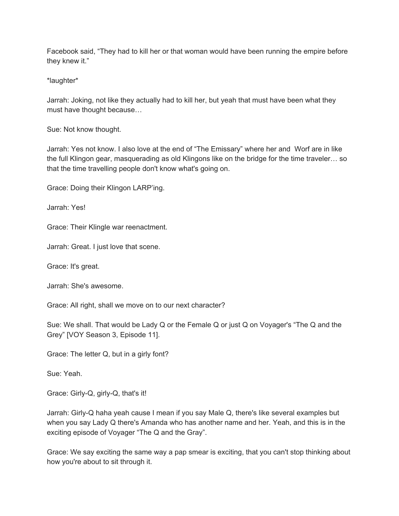Facebook said, "They had to kill her or that woman would have been running the empire before they knew it."

\*laughter\*

Jarrah: Joking, not like they actually had to kill her, but yeah that must have been what they must have thought because…

Sue: Not know thought.

Jarrah: Yes not know. I also love at the end of "The Emissary" where her and Worf are in like the full Klingon gear, masquerading as old Klingons like on the bridge for the time traveler… so that the time travelling people don't know what's going on.

Grace: Doing their Klingon LARP'ing.

Jarrah: Yes!

Grace: Their Klingle war reenactment.

Jarrah: Great. I just love that scene.

Grace: It's great.

Jarrah: She's awesome.

Grace: All right, shall we move on to our next character?

Sue: We shall. That would be Lady Q or the Female Q or just Q on Voyager's "The Q and the Grey" [VOY Season 3, Episode 11].

Grace: The letter Q, but in a girly font?

Sue: Yeah.

Grace: Girly-Q, girly-Q, that's it!

Jarrah: Girly-Q haha yeah cause I mean if you say Male Q, there's like several examples but when you say Lady Q there's Amanda who has another name and her. Yeah, and this is in the exciting episode of Voyager "The Q and the Gray".

Grace: We say exciting the same way a pap smear is exciting, that you can't stop thinking about how you're about to sit through it.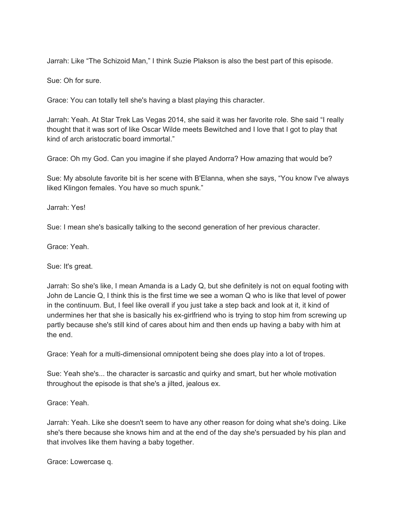Jarrah: Like "The Schizoid Man," I think Suzie Plakson is also the best part of this episode.

Sue: Oh for sure.

Grace: You can totally tell she's having a blast playing this character.

Jarrah: Yeah. At Star Trek Las Vegas 2014, she said it was her favorite role. She said "I really thought that it was sort of like Oscar Wilde meets Bewitched and I love that I got to play that kind of arch aristocratic board immortal."

Grace: Oh my God. Can you imagine if she played Andorra? How amazing that would be?

Sue: My absolute favorite bit is her scene with B'Elanna, when she says, "You know I've always liked Klingon females. You have so much spunk."

Jarrah: Yes!

Sue: I mean she's basically talking to the second generation of her previous character.

Grace: Yeah.

Sue: It's great.

Jarrah: So she's like, I mean Amanda is a Lady Q, but she definitely is not on equal footing with John de Lancie Q, I think this is the first time we see a woman Q who is like that level of power in the continuum. But, I feel like overall if you just take a step back and look at it, it kind of undermines her that she is basically his ex-girlfriend who is trying to stop him from screwing up partly because she's still kind of cares about him and then ends up having a baby with him at the end.

Grace: Yeah for a multi-dimensional omnipotent being she does play into a lot of tropes.

Sue: Yeah she's... the character is sarcastic and quirky and smart, but her whole motivation throughout the episode is that she's a jilted, jealous ex.

Grace: Yeah.

Jarrah: Yeah. Like she doesn't seem to have any other reason for doing what she's doing. Like she's there because she knows him and at the end of the day she's persuaded by his plan and that involves like them having a baby together.

Grace: Lowercase q.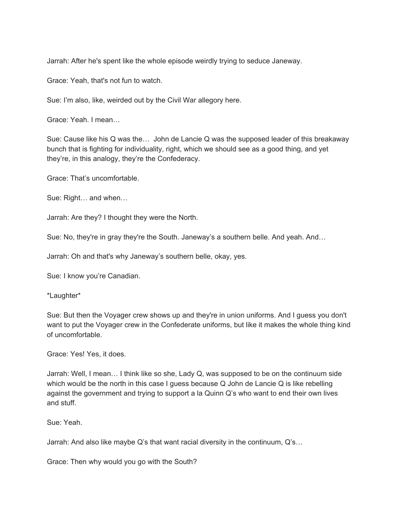Jarrah: After he's spent like the whole episode weirdly trying to seduce Janeway.

Grace: Yeah, that's not fun to watch.

Sue: I'm also, like, weirded out by the Civil War allegory here.

Grace: Yeah. I mean…

Sue: Cause like his Q was the… John de Lancie Q was the supposed leader of this breakaway bunch that is fighting for individuality, right, which we should see as a good thing, and yet they're, in this analogy, they're the Confederacy.

Grace: That's uncomfortable.

Sue: Right… and when…

Jarrah: Are they? I thought they were the North.

Sue: No, they're in gray they're the South. Janeway's a southern belle. And yeah. And…

Jarrah: Oh and that's why Janeway's southern belle, okay, yes.

Sue: I know you're Canadian.

\*Laughter\*

Sue: But then the Voyager crew shows up and they're in union uniforms. And I guess you don't want to put the Voyager crew in the Confederate uniforms, but like it makes the whole thing kind of uncomfortable.

Grace: Yes! Yes, it does.

Jarrah: Well, I mean… I think like so she, Lady Q, was supposed to be on the continuum side which would be the north in this case I guess because Q John de Lancie Q is like rebelling against the government and trying to support a la Quinn Q's who want to end their own lives and stuff.

Sue: Yeah.

Jarrah: And also like maybe Q's that want racial diversity in the continuum, Q's…

Grace: Then why would you go with the South?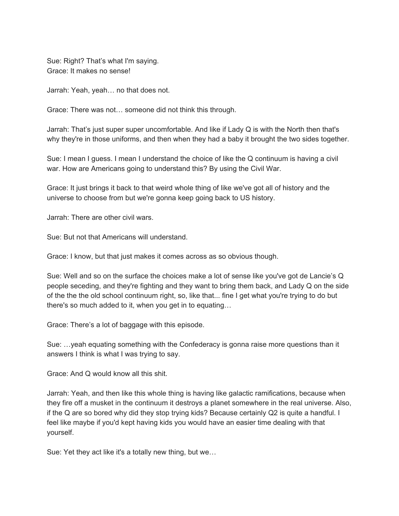Sue: Right? That's what I'm saying. Grace: It makes no sense!

Jarrah: Yeah, yeah… no that does not.

Grace: There was not… someone did not think this through.

Jarrah: That's just super super uncomfortable. And like if Lady Q is with the North then that's why they're in those uniforms, and then when they had a baby it brought the two sides together.

Sue: I mean I guess. I mean I understand the choice of like the Q continuum is having a civil war. How are Americans going to understand this? By using the Civil War.

Grace: It just brings it back to that weird whole thing of like we've got all of history and the universe to choose from but we're gonna keep going back to US history.

Jarrah: There are other civil wars.

Sue: But not that Americans will understand.

Grace: I know, but that just makes it comes across as so obvious though.

Sue: Well and so on the surface the choices make a lot of sense like you've got de Lancie's Q people seceding, and they're fighting and they want to bring them back, and Lady Q on the side of the the the old school continuum right, so, like that... fine I get what you're trying to do but there's so much added to it, when you get in to equating…

Grace: There's a lot of baggage with this episode.

Sue: …yeah equating something with the Confederacy is gonna raise more questions than it answers I think is what I was trying to say.

Grace: And Q would know all this shit.

Jarrah: Yeah, and then like this whole thing is having like galactic ramifications, because when they fire off a musket in the continuum it destroys a planet somewhere in the real universe. Also, if the Q are so bored why did they stop trying kids? Because certainly Q2 is quite a handful. I feel like maybe if you'd kept having kids you would have an easier time dealing with that yourself.

Sue: Yet they act like it's a totally new thing, but we…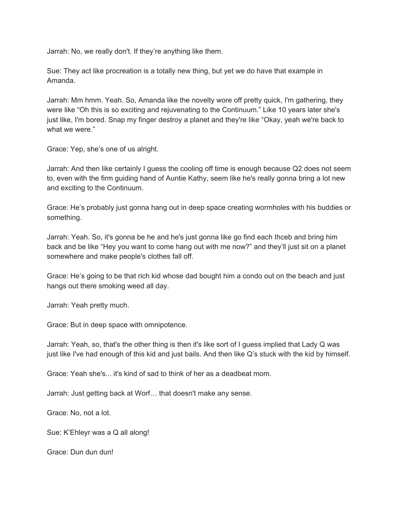Jarrah: No, we really don't. If they're anything like them.

Sue: They act like procreation is a totally new thing, but yet we do have that example in Amanda.

Jarrah: Mm hmm. Yeah. So, Amanda like the novelty wore off pretty quick, I'm gathering, they were like "Oh this is so exciting and rejuvenating to the Continuum." Like 10 years later she's just like, I'm bored. Snap my finger destroy a planet and they're like "Okay, yeah we're back to what we were."

Grace: Yep, she's one of us alright.

Jarrah: And then like certainly I guess the cooling off time is enough because Q2 does not seem to, even with the firm guiding hand of Auntie Kathy, seem like he's really gonna bring a lot new and exciting to the Continuum.

Grace: He's probably just gonna hang out in deep space creating wormholes with his buddies or something.

Jarrah: Yeah. So, it's gonna be he and he's just gonna like go find each Ihceb and bring him back and be like "Hey you want to come hang out with me now?" and they'll just sit on a planet somewhere and make people's clothes fall off.

Grace: He's going to be that rich kid whose dad bought him a condo out on the beach and just hangs out there smoking weed all day.

Jarrah: Yeah pretty much.

Grace: But in deep space with omnipotence.

Jarrah: Yeah, so, that's the other thing is then it's like sort of I guess implied that Lady Q was just like I've had enough of this kid and just bails. And then like Q's stuck with the kid by himself.

Grace: Yeah she's... it's kind of sad to think of her as a deadbeat mom.

Jarrah: Just getting back at Worf… that doesn't make any sense.

Grace: No, not a lot.

Sue: K'Ehleyr was a Q all along!

Grace: Dun dun dun!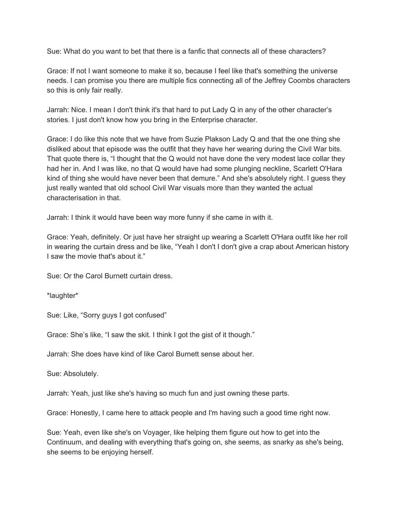Sue: What do you want to bet that there is a fanfic that connects all of these characters?

Grace: If not I want someone to make it so, because I feel like that's something the universe needs. I can promise you there are multiple fics connecting all of the Jeffrey Coombs characters so this is only fair really.

Jarrah: Nice. I mean I don't think it's that hard to put Lady Q in any of the other character's stories. I just don't know how you bring in the Enterprise character.

Grace: I do like this note that we have from Suzie Plakson Lady Q and that the one thing she disliked about that episode was the outfit that they have her wearing during the Civil War bits. That quote there is, "I thought that the Q would not have done the very modest lace collar they had her in. And I was like, no that Q would have had some plunging neckline, Scarlett O'Hara kind of thing she would have never been that demure." And she's absolutely right. I guess they just really wanted that old school Civil War visuals more than they wanted the actual characterisation in that.

Jarrah: I think it would have been way more funny if she came in with it.

Grace: Yeah, definitely. Or just have her straight up wearing a Scarlett O'Hara outfit like her roll in wearing the curtain dress and be like, "Yeah I don't I don't give a crap about American history I saw the movie that's about it."

Sue: Or the Carol Burnett curtain dress.

\*laughter\*

Sue: Like, "Sorry guys I got confused"

Grace: She's like, "I saw the skit. I think I got the gist of it though."

Jarrah: She does have kind of like Carol Burnett sense about her.

Sue: Absolutely.

Jarrah: Yeah, just like she's having so much fun and just owning these parts.

Grace: Honestly, I came here to attack people and I'm having such a good time right now.

Sue: Yeah, even like she's on Voyager, like helping them figure out how to get into the Continuum, and dealing with everything that's going on, she seems, as snarky as she's being, she seems to be enjoying herself.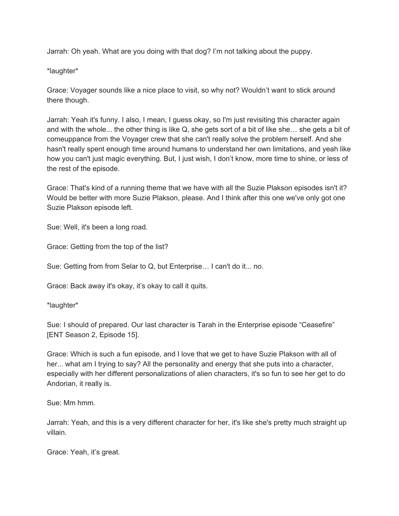Jarrah: Oh yeah. What are you doing with that dog? I'm not talking about the puppy.

\*laughter\*

Grace: Voyager sounds like a nice place to visit, so why not? Wouldn't want to stick around there though.

Jarrah: Yeah it's funny. I also, I mean, I guess okay, so I'm just revisiting this character again and with the whole... the other thing is like Q, she gets sort of a bit of like she… she gets a bit of comeuppance from the Voyager crew that she can't really solve the problem herself. And she hasn't really spent enough time around humans to understand her own limitations, and yeah like how you can't just magic everything. But, I just wish, I don't know, more time to shine, or less of the rest of the episode.

Grace: That's kind of a running theme that we have with all the Suzie Plakson episodes isn't it? Would be better with more Suzie Plakson, please. And I think after this one we've only got one Suzie Plakson episode left.

Sue: Well, it's been a long road.

Grace: Getting from the top of the list?

Sue: Getting from from Selar to Q, but Enterprise… I can't do it... no.

Grace: Back away it's okay, it's okay to call it quits.

\*laughter\*

Sue: I should of prepared. Our last character is Tarah in the Enterprise episode "Ceasefire" [ENT Season 2, Episode 15].

Grace: Which is such a fun episode, and I love that we get to have Suzie Plakson with all of her... what am I trying to say? All the personality and energy that she puts into a character, especially with her different personalizations of alien characters, it's so fun to see her get to do Andorian, it really is.

Sue: Mm hmm.

Jarrah: Yeah, and this is a very different character for her, it's like she's pretty much straight up villain.

Grace: Yeah, it's great.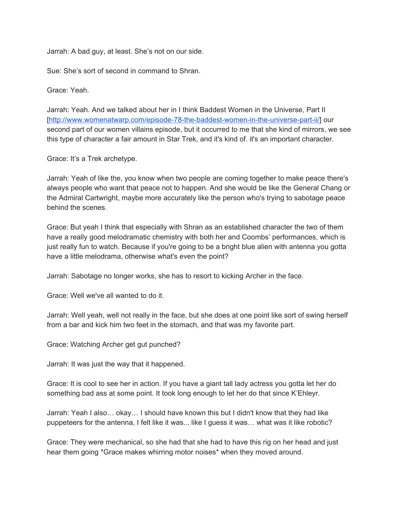Jarrah: A bad guy, at least. She's not on our side.

Sue: She's sort of second in command to Shran.

Grace: Yeah.

Jarrah: Yeah. And we talked about her in I think Baddest Women in the Universe, Part II [\[http://www.womenatwarp.com/episode-78-the-baddest-women-in-the-universe-part-ii/](http://www.womenatwarp.com/episode-78-the-baddest-women-in-the-universe-part-ii/)] our second part of our women villains episode, but it occurred to me that she kind of mirrors, we see this type of character a fair amount in Star Trek, and it's kind of. it's an important character.

Grace: It's a Trek archetype.

Jarrah: Yeah of like the, you know when two people are coming together to make peace there's always people who want that peace not to happen. And she would be like the General Chang or the Admiral Cartwright, maybe more accurately like the person who's trying to sabotage peace behind the scenes.

Grace: But yeah I think that especially with Shran as an established character the two of them have a really good melodramatic chemistry with both her and Coombs' performances, which is just really fun to watch. Because if you're going to be a bright blue alien with antenna you gotta have a little melodrama, otherwise what's even the point?

Jarrah: Sabotage no longer works, she has to resort to kicking Archer in the face.

Grace: Well we've all wanted to do it.

Jarrah: Well yeah, well not really in the face, but she does at one point like sort of swing herself from a bar and kick him two feet in the stomach, and that was my favorite part.

Grace: Watching Archer get gut punched?

Jarrah: It was just the way that it happened.

Grace: It is cool to see her in action. If you have a giant tall lady actress you gotta let her do something bad ass at some point. It took long enough to let her do that since K'Ehleyr.

Jarrah: Yeah I also… okay… I should have known this but I didn't know that they had like puppeteers for the antenna, I felt like it was... like I guess it was… what was it like robotic?

Grace: They were mechanical, so she had that she had to have this rig on her head and just hear them going \*Grace makes whirring motor noises\* when they moved around.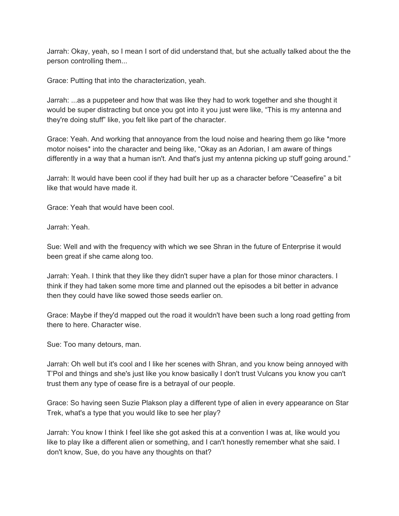Jarrah: Okay, yeah, so I mean I sort of did understand that, but she actually talked about the the person controlling them...

Grace: Putting that into the characterization, yeah.

Jarrah: ...as a puppeteer and how that was like they had to work together and she thought it would be super distracting but once you got into it you just were like, "This is my antenna and they're doing stuff" like, you felt like part of the character.

Grace: Yeah. And working that annoyance from the loud noise and hearing them go like \*more motor noises\* into the character and being like, "Okay as an Adorian, I am aware of things differently in a way that a human isn't. And that's just my antenna picking up stuff going around."

Jarrah: It would have been cool if they had built her up as a character before "Ceasefire" a bit like that would have made it.

Grace: Yeah that would have been cool.

Jarrah: Yeah.

Sue: Well and with the frequency with which we see Shran in the future of Enterprise it would been great if she came along too.

Jarrah: Yeah. I think that they like they didn't super have a plan for those minor characters. I think if they had taken some more time and planned out the episodes a bit better in advance then they could have like sowed those seeds earlier on.

Grace: Maybe if they'd mapped out the road it wouldn't have been such a long road getting from there to here. Character wise.

Sue: Too many detours, man.

Jarrah: Oh well but it's cool and I like her scenes with Shran, and you know being annoyed with T'Pol and things and she's just like you know basically I don't trust Vulcans you know you can't trust them any type of cease fire is a betrayal of our people.

Grace: So having seen Suzie Plakson play a different type of alien in every appearance on Star Trek, what's a type that you would like to see her play?

Jarrah: You know I think I feel like she got asked this at a convention I was at, like would you like to play like a different alien or something, and I can't honestly remember what she said. I don't know, Sue, do you have any thoughts on that?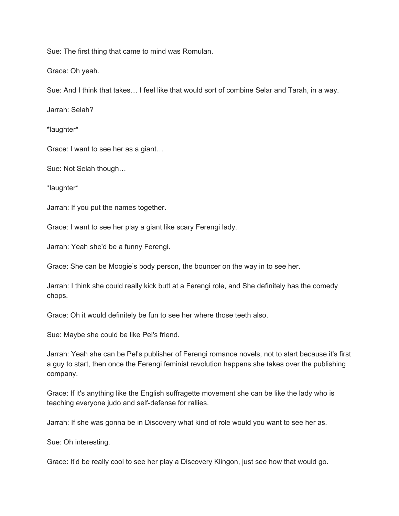Sue: The first thing that came to mind was Romulan.

Grace: Oh yeah.

Sue: And I think that takes… I feel like that would sort of combine Selar and Tarah, in a way.

Jarrah: Selah?

\*laughter\*

Grace: I want to see her as a giant…

Sue: Not Selah though…

\*laughter\*

Jarrah: If you put the names together.

Grace: I want to see her play a giant like scary Ferengi lady.

Jarrah: Yeah she'd be a funny Ferengi.

Grace: She can be Moogie's body person, the bouncer on the way in to see her.

Jarrah: I think she could really kick butt at a Ferengi role, and She definitely has the comedy chops.

Grace: Oh it would definitely be fun to see her where those teeth also.

Sue: Maybe she could be like Pel's friend.

Jarrah: Yeah she can be Pel's publisher of Ferengi romance novels, not to start because it's first a guy to start, then once the Ferengi feminist revolution happens she takes over the publishing company.

Grace: If it's anything like the English suffragette movement she can be like the lady who is teaching everyone judo and self-defense for rallies.

Jarrah: If she was gonna be in Discovery what kind of role would you want to see her as.

Sue: Oh interesting.

Grace: It'd be really cool to see her play a Discovery Klingon, just see how that would go.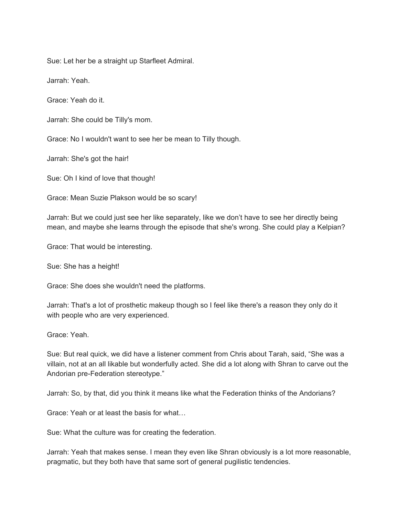Sue: Let her be a straight up Starfleet Admiral.

Jarrah: Yeah.

Grace: Yeah do it.

Jarrah: She could be Tilly's mom.

Grace: No I wouldn't want to see her be mean to Tilly though.

Jarrah: She's got the hair!

Sue: Oh I kind of love that though!

Grace: Mean Suzie Plakson would be so scary!

Jarrah: But we could just see her like separately, like we don't have to see her directly being mean, and maybe she learns through the episode that she's wrong. She could play a Kelpian?

Grace: That would be interesting.

Sue: She has a height!

Grace: She does she wouldn't need the platforms.

Jarrah: That's a lot of prosthetic makeup though so I feel like there's a reason they only do it with people who are very experienced.

Grace: Yeah.

Sue: But real quick, we did have a listener comment from Chris about Tarah, said, "She was a villain, not at an all likable but wonderfully acted. She did a lot along with Shran to carve out the Andorian pre-Federation stereotype."

Jarrah: So, by that, did you think it means like what the Federation thinks of the Andorians?

Grace: Yeah or at least the basis for what…

Sue: What the culture was for creating the federation.

Jarrah: Yeah that makes sense. I mean they even like Shran obviously is a lot more reasonable, pragmatic, but they both have that same sort of general pugilistic tendencies.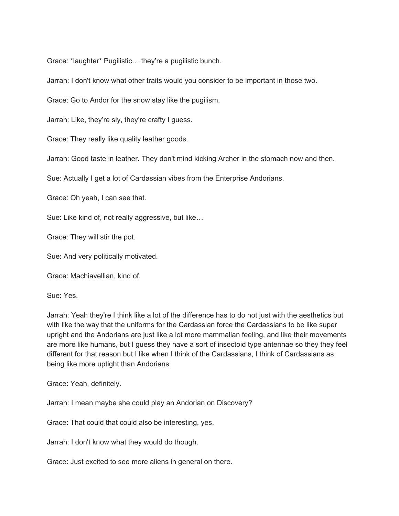Grace: \*laughter\* Pugilistic… they're a pugilistic bunch.

Jarrah: I don't know what other traits would you consider to be important in those two.

Grace: Go to Andor for the snow stay like the pugilism.

Jarrah: Like, they're sly, they're crafty I guess.

Grace: They really like quality leather goods.

Jarrah: Good taste in leather. They don't mind kicking Archer in the stomach now and then.

Sue: Actually I get a lot of Cardassian vibes from the Enterprise Andorians.

Grace: Oh yeah, I can see that.

Sue: Like kind of, not really aggressive, but like…

Grace: They will stir the pot.

Sue: And very politically motivated.

Grace: Machiavellian, kind of.

Sue: Yes.

Jarrah: Yeah they're I think like a lot of the difference has to do not just with the aesthetics but with like the way that the uniforms for the Cardassian force the Cardassians to be like super upright and the Andorians are just like a lot more mammalian feeling, and like their movements are more like humans, but I guess they have a sort of insectoid type antennae so they they feel different for that reason but I like when I think of the Cardassians, I think of Cardassians as being like more uptight than Andorians.

Grace: Yeah, definitely.

Jarrah: I mean maybe she could play an Andorian on Discovery?

Grace: That could that could also be interesting, yes.

Jarrah: I don't know what they would do though.

Grace: Just excited to see more aliens in general on there.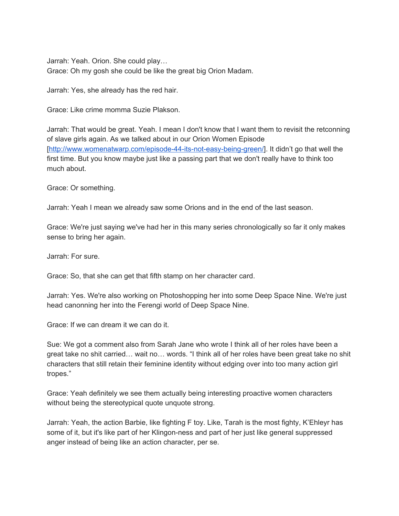Jarrah: Yeah. Orion. She could play… Grace: Oh my gosh she could be like the great big Orion Madam.

Jarrah: Yes, she already has the red hair.

Grace: Like crime momma Suzie Plakson.

Jarrah: That would be great. Yeah. I mean I don't know that I want them to revisit the retconning of slave girls again. As we talked about in our Orion Women Episode [\[http://www.womenatwarp.com/episode-44-its-not-easy-being-green/\]](http://www.womenatwarp.com/episode-44-its-not-easy-being-green/). It didn't go that well the first time. But you know maybe just like a passing part that we don't really have to think too much about.

Grace: Or something.

Jarrah: Yeah I mean we already saw some Orions and in the end of the last season.

Grace: We're just saying we've had her in this many series chronologically so far it only makes sense to bring her again.

Jarrah: For sure.

Grace: So, that she can get that fifth stamp on her character card.

Jarrah: Yes. We're also working on Photoshopping her into some Deep Space Nine. We're just head canonning her into the Ferengi world of Deep Space Nine.

Grace: If we can dream it we can do it.

Sue: We got a comment also from Sarah Jane who wrote I think all of her roles have been a great take no shit carried… wait no… words. "I think all of her roles have been great take no shit characters that still retain their feminine identity without edging over into too many action girl tropes."

Grace: Yeah definitely we see them actually being interesting proactive women characters without being the stereotypical quote unquote strong.

Jarrah: Yeah, the action Barbie, like fighting F toy. Like, Tarah is the most fighty, K'Ehleyr has some of it, but it's like part of her Klingon-ness and part of her just like general suppressed anger instead of being like an action character, per se.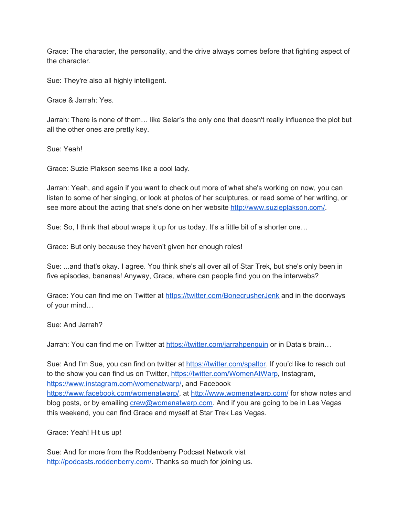Grace: The character, the personality, and the drive always comes before that fighting aspect of the character.

Sue: They're also all highly intelligent.

Grace & Jarrah: Yes.

Jarrah: There is none of them… like Selar's the only one that doesn't really influence the plot but all the other ones are pretty key.

Sue: Yeah!

Grace: Suzie Plakson seems like a cool lady.

Jarrah: Yeah, and again if you want to check out more of what she's working on now, you can listen to some of her singing, or look at photos of her sculptures, or read some of her writing, or see more about the acting that she's done on her website [http://www.suzieplakson.com/.](http://www.suzieplakson.com/)

Sue: So, I think that about wraps it up for us today. It's a little bit of a shorter one…

Grace: But only because they haven't given her enough roles!

Sue: ...and that's okay. I agree. You think she's all over all of Star Trek, but she's only been in five episodes, bananas! Anyway, Grace, where can people find you on the interwebs?

Grace: You can find me on Twitter at <https://twitter.com/BonecrusherJenk> and in the doorways of your mind…

Sue: And Jarrah?

Jarrah: You can find me on Twitter at <https://twitter.com/jarrahpenguin> or in Data's brain…

Sue: And I'm Sue, you can find on twitter at <https://twitter.com/spaltor>. If you'd like to reach out to the show you can find us on Twitter, <https://twitter.com/WomenAtWarp>, Instagram, <https://www.instagram.com/womenatwarp/>, and Facebook <https://www.facebook.com/womenatwarp/>, at <http://www.womenatwarp.com/> for show notes and blog posts, or by emailing [crew@womenatwarp.com](mailto:crew@womenatwarp.com). And if you are going to be in Las Vegas this weekend, you can find Grace and myself at Star Trek Las Vegas.

Grace: Yeah! Hit us up!

Sue: And for more from the Roddenberry Podcast Network vist <http://podcasts.roddenberry.com/>. Thanks so much for joining us.